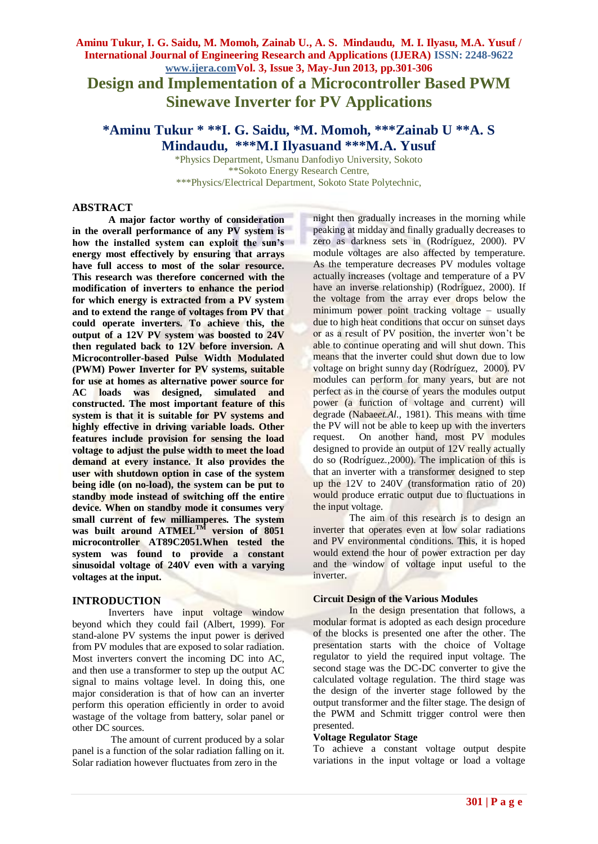# **Aminu Tukur, I. G. Saidu, M. Momoh, Zainab U., A. S. Mindaudu, M. I. Ilyasu, M.A. Yusuf / International Journal of Engineering Research and Applications (IJERA) ISSN: 2248-9622 www.ijera.comVol. 3, Issue 3, May-Jun 2013, pp.301-306 Design and Implementation of a Microcontroller Based PWM Sinewave Inverter for PV Applications**

**\*Aminu Tukur \* \*\*I. G. Saidu, \*M. Momoh, \*\*\*Zainab U \*\*A. S Mindaudu, \*\*\*M.I Ilyasuand \*\*\*M.A. Yusuf**

\*Physics Department, Usmanu Danfodiyo University, Sokoto \*\*Sokoto Energy Research Centre, \*\*\*Physics/Electrical Department, Sokoto State Polytechnic,

## **ABSTRACT**

**A major factor worthy of consideration in the overall performance of any PV system is how the installed system can exploit the sun's energy most effectively by ensuring that arrays have full access to most of the solar resource. This research was therefore concerned with the modification of inverters to enhance the period for which energy is extracted from a PV system and to extend the range of voltages from PV that could operate inverters. To achieve this, the output of a 12V PV system was boosted to 24V then regulated back to 12V before inversion. A Microcontroller-based Pulse Width Modulated (PWM) Power Inverter for PV systems, suitable for use at homes as alternative power source for AC loads was designed, simulated and constructed. The most important feature of this system is that it is suitable for PV systems and highly effective in driving variable loads. Other features include provision for sensing the load voltage to adjust the pulse width to meet the load demand at every instance. It also provides the user with shutdown option in case of the system being idle (on no-load), the system can be put to standby mode instead of switching off the entire device. When on standby mode it consumes very small current of few milliamperes. The system was built around ATMELTM version of 8051 microcontroller AT89C2051.When tested the system was found to provide a constant sinusoidal voltage of 240V even with a varying voltages at the input.**

## **INTRODUCTION**

Inverters have input voltage window beyond which they could fail (Albert, 1999). For stand-alone PV systems the input power is derived from PV modules that are exposed to solar radiation. Most inverters convert the incoming DC into AC, and then use a transformer to step up the output AC signal to mains voltage level. In doing this, one major consideration is that of how can an inverter perform this operation efficiently in order to avoid wastage of the voltage from battery, solar panel or other DC sources.

The amount of current produced by a solar panel is a function of the solar radiation falling on it. Solar radiation however fluctuates from zero in the

night then gradually increases in the morning while peaking at midday and finally gradually decreases to zero as darkness sets in (Rodríguez*,* 2000). PV module voltages are also affected by temperature. As the temperature decreases PV modules voltage actually increases (voltage and temperature of a PV have an inverse relationship) (Rodríguez*,* 2000). If the voltage from the array ever drops below the minimum power point tracking voltage – usually due to high heat conditions that occur on sunset days or as a result of PV position, the inverter won't be able to continue operating and will shut down. This means that the inverter could shut down due to low voltage on bright sunny day (Rodríguez*,* 2000). PV modules can perform for many years, but are not perfect as in the course of years the modules output power (a function of voltage and current) will degrade (Nabae*et.Al.,* 1981). This means with time the PV will not be able to keep up with the inverters request. On another hand, most PV modules designed to provide an output of 12V really actually do so (Rodríguez*.,*2000). The implication of this is that an inverter with a transformer designed to step up the 12V to 240V (transformation ratio of 20) would produce erratic output due to fluctuations in the input voltage.

The aim of this research is to design an inverter that operates even at low solar radiations and PV environmental conditions. This, it is hoped would extend the hour of power extraction per day and the window of voltage input useful to the inverter.

#### **Circuit Design of the Various Modules**

In the design presentation that follows, a modular format is adopted as each design procedure of the blocks is presented one after the other. The presentation starts with the choice of Voltage regulator to yield the required input voltage. The second stage was the DC-DC converter to give the calculated voltage regulation. The third stage was the design of the inverter stage followed by the output transformer and the filter stage. The design of the PWM and Schmitt trigger control were then presented.

#### **Voltage Regulator Stage**

To achieve a constant voltage output despite variations in the input voltage or load a voltage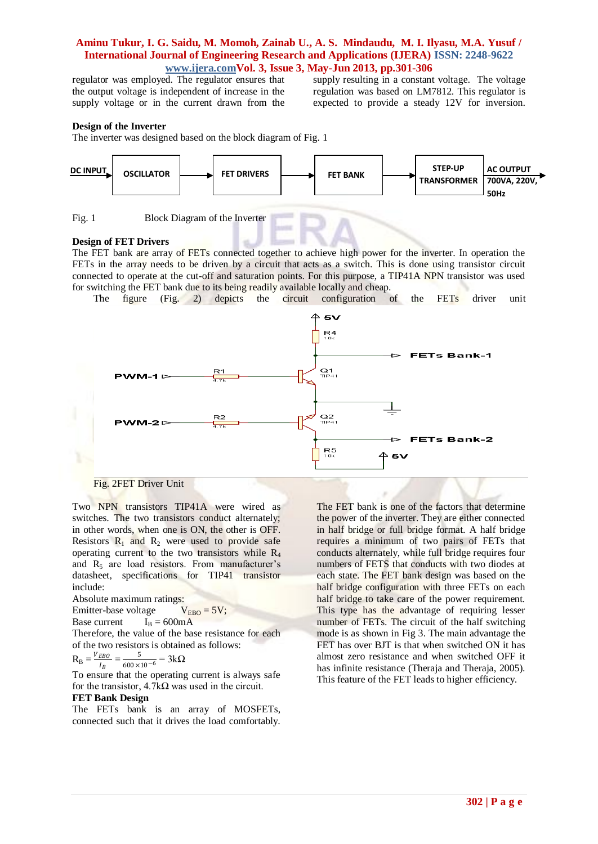regulator was employed. The regulator ensures that the output voltage is independent of increase in the supply voltage or in the current drawn from the

supply resulting in a constant voltage. The voltage regulation was based on LM7812. This regulator is expected to provide a steady 12V for inversion.

#### **Design of the Inverter**

The inverter was designed based on the block diagram of Fig. 1



Fig. 1 Block Diagram of the Inverter

#### **Design of FET Drivers**

The FET bank are array of FETs connected together to achieve high power for the inverter. In operation the FETs in the array needs to be driven by a circuit that acts as a switch. This is done using transistor circuit connected to operate at the cut-off and saturation points. For this purpose, a TIP41A NPN transistor was used for switching the FET bank due to its being readily available locally and cheap.

The figure (Fig. 2) depicts the circuit configuration of the FETs driver unit



Fig. 2FET Driver Unit

Two NPN transistors TIP41A were wired as switches. The two transistors conduct alternately; in other words, when one is ON, the other is OFF. Resistors  $R_1$  and  $R_2$  were used to provide safe operating current to the two transistors while  $R_4$ and  $R_5$  are load resistors. From manufacturer's datasheet, specifications for TIP41 transistor include:

Absolute maximum ratings:

Emitter-base voltage  $V_{FBO} = 5V$ ;

Base current  $I_B = 600 \text{mA}$ 

Therefore, the value of the base resistance for each of the two resistors is obtained as follows:

$$
R_B = \frac{V_{EBO}}{I_B} = \frac{5}{600 \times 10^{-6}} = 3k\Omega
$$

To  $I_B$  600×10<sup>-6</sup> Theorem current is always safe for the transistor,  $4.7k\Omega$  was used in the circuit.

# **FET Bank Design**

The FETs bank is an array of MOSFETs, connected such that it drives the load comfortably. The FET bank is one of the factors that determine the power of the inverter. They are either connected in half bridge or full bridge format. A half bridge requires a minimum of two pairs of FETs that conducts alternately, while full bridge requires four numbers of FETS that conducts with two diodes at each state. The FET bank design was based on the half bridge configuration with three FETs on each half bridge to take care of the power requirement. This type has the advantage of requiring lesser number of FETs. The circuit of the half switching mode is as shown in Fig 3. The main advantage the FET has over BJT is that when switched ON it has almost zero resistance and when switched OFF it has infinite resistance (Theraja and Theraja, 2005). This feature of the FET leads to higher efficiency.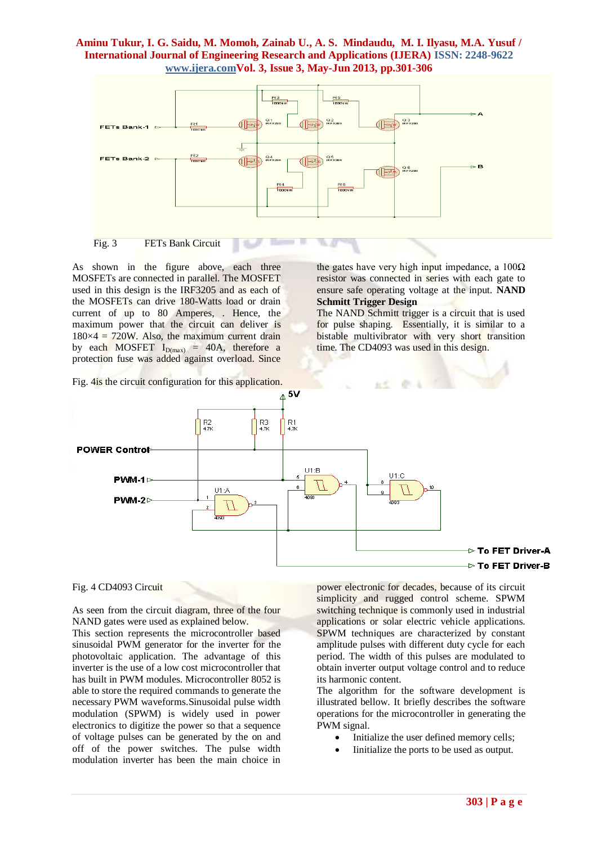

п

Fig. 3 FETs Bank Circuit

As shown in the figure above, each three MOSFETs are connected in parallel. The MOSFET used in this design is the IRF3205 and as each of the MOSFETs can drive 180-Watts load or drain current of up to 80 Amperes, . Hence, the maximum power that the circuit can deliver is  $180\times4 = 720W$ . Also, the maximum current drain by each MOSFET  $I_{D(max)}$  = 40A, therefore a protection fuse was added against overload. Since

the gates have very high input impedance, a  $100\Omega$ resistor was connected in series with each gate to ensure safe operating voltage at the input. **NAND Schmitt Trigger Design**

The NAND Schmitt trigger is a circuit that is used for pulse shaping. Essentially, it is similar to a bistable multivibrator with very short transition time. The CD4093 was used in this design.



### Fig. 4 CD4093 Circuit

As seen from the circuit diagram, three of the four NAND gates were used as explained below.

This section represents the microcontroller based sinusoidal PWM generator for the inverter for the photovoltaic application. The advantage of this inverter is the use of a low cost microcontroller that has built in PWM modules. Microcontroller 8052 is able to store the required commands to generate the necessary PWM waveforms.Sinusoidal pulse width modulation (SPWM) is widely used in power electronics to digitize the power so that a sequence of voltage pulses can be generated by the on and off of the power switches. The pulse width modulation inverter has been the main choice in

power electronic for decades, because of its circuit simplicity and rugged control scheme. SPWM switching technique is commonly used in industrial applications or solar electric vehicle applications. SPWM techniques are characterized by constant amplitude pulses with different duty cycle for each period. The width of this pulses are modulated to obtain inverter output voltage control and to reduce its harmonic content.

The algorithm for the software development is illustrated bellow. It briefly describes the software operations for the microcontroller in generating the PWM signal.

- Initialize the user defined memory cells;
- Iinitialize the ports to be used as output.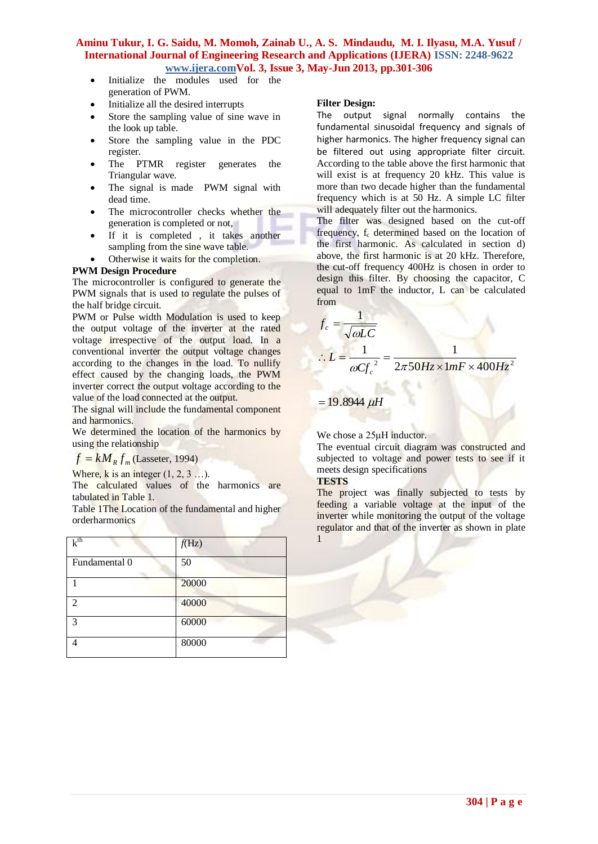- Initialize the modules used for the generation of PWM.
- Initialize all the desired interrupts
- Store the sampling value of sine wave in the look up table.
- Store the sampling value in the PDC register.
- The PTMR register generates the Triangular wave.
- The signal is made PWM signal with dead time.
- The microcontroller checks whether the generation is completed or not,
- If it is completed , it takes another sampling from the sine wave table.
- Otherwise it waits for the completion.

## **PWM Design Procedure**

The microcontroller is configured to generate the PWM signals that is used to regulate the pulses of the half bridge circuit.

PWM or Pulse width Modulation is used to keep the output voltage of the inverter at the rated voltage irrespective of the output load. In a conventional inverter the output voltage changes according to the changes in the load. To nullify effect caused by the changing loads, the PWM inverter correct the output voltage according to the value of the load connected at the output.

The signal will include the fundamental component and harmonics.

We determined the location of the harmonics by using the relationship

 $f = kM_R f_m$  (Lasseter, 1994)

Where, k is an integer  $(1, 2, 3 \ldots)$ .

The calculated values of the harmonics are tabulated in Table 1.

Table 1The Location of the fundamental and higher orderharmonics

| $k^{th}$      | f(Hz) |
|---------------|-------|
| Fundamental 0 | 50    |
|               | 20000 |
| 2             | 40000 |
| 3             | 60000 |
|               | 80000 |

## **Filter Design:**

The output signal normally contains the fundamental sinusoidal frequency and signals of higher harmonics. The higher frequency signal can be filtered out using appropriate filter circuit. According to the table above the first harmonic that will exist is at frequency 20 kHz. This value is more than two decade higher than the fundamental frequency which is at 50 Hz. A simple LC filter will adequately filter out the harmonics.

The filter was designed based on the cut-off frequency, f<sub>c</sub> determined based on the location of the first harmonic. As calculated in section d) above, the first harmonic is at 20 kHz. Therefore, the cut-off frequency 400Hz is chosen in order to design this filter. By choosing the capacitor, C equal to 1mF the inductor, L can be calculated from

$$
f_c = \frac{1}{\sqrt{\omega LC}}
$$
  
:.  $L = \frac{1}{\omega C f_c^2} = \frac{1}{2\pi 50 Hz \times 1 mF \times 400 Hz^2}$ 

 $= 19.8944 \mu H$ 

We chose a 25μH inductor.

The eventual circuit diagram was constructed and subjected to voltage and power tests to see if it meets design specifications

### **TESTS**

The project was finally subjected to tests by feeding a variable voltage at the input of the inverter while monitoring the output of the voltage regulator and that of the inverter as shown in plate 1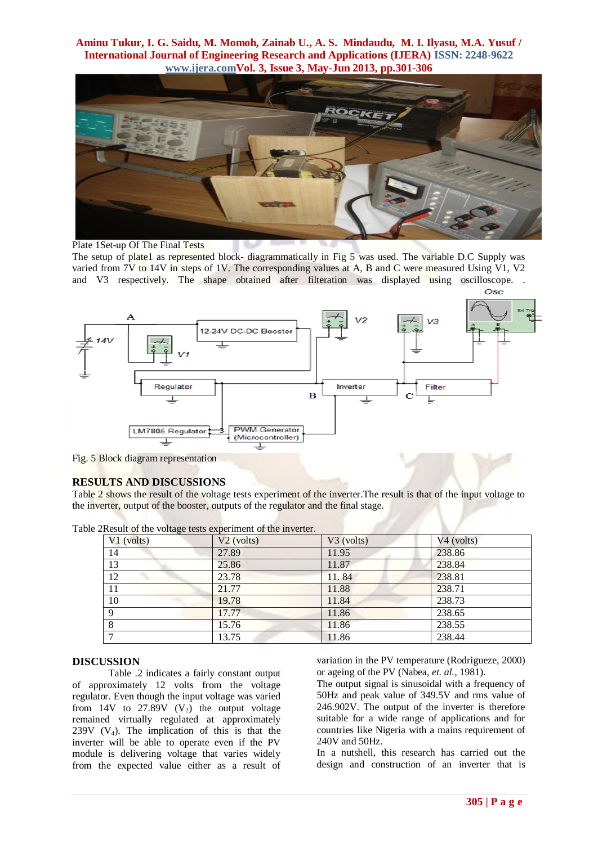

Plate 1Set-up Of The Final Tests

The setup of plate1 as represented block- diagrammatically in Fig 5 was used. The variable D.C Supply was varied from 7V to 14V in steps of 1V. The corresponding values at A, B and C were measured Using V1, V2 and V3 respectively. The shape obtained after filteration was displayed using oscilloscope. . Osc



Fig. 5 Block diagram representation

## **RESULTS AND DISCUSSIONS**

Table 2 shows the result of the voltage tests experiment of the inverter.The result is that of the input voltage to the inverter, output of the booster, outputs of the regulator and the final stage.

| $V1$ (volts)    | $V2$ (volts) | $V3$ (volts) | $V4$ (volts) |
|-----------------|--------------|--------------|--------------|
| 14              | 27.89        | 11.95        | 238.86       |
| 13              | 25.86        | 11.87        | 238.84       |
| $\overline{12}$ | 23.78        | 11.84        | 238.81       |
| 11              | 21.77        | 11.88        | 238.71       |
| 10              | 19.78        | 11.84        | 238.73       |
| Q               | 17.77        | 11.86        | 238.65       |
|                 | 15.76        | 11.86        | 238.55       |
|                 | 13.75        | 11.86        | 238.44       |

Table 2Result of the voltage tests experiment of the inverter.

### **DISCUSSION**

Table .2 indicates a fairly constant output of approximately 12 volts from the voltage regulator. Even though the input voltage was varied from 14V to 27.89V  $(V_2)$  the output voltage remained virtually regulated at approximately 239V  $(V_4)$ . The implication of this is that the inverter will be able to operate even if the PV module is delivering voltage that varies widely from the expected value either as a result of variation in the PV temperature (Rodrigueze, 2000) or ageing of the PV (Nabea, *et. al.,* 1981).

The output signal is sinusoidal with a frequency of 50Hz and peak value of 349.5V and rms value of 246.902V. The output of the inverter is therefore suitable for a wide range of applications and for countries like Nigeria with a mains requirement of 240V and 50Hz.

In a nutshell, this research has carried out the design and construction of an inverter that is